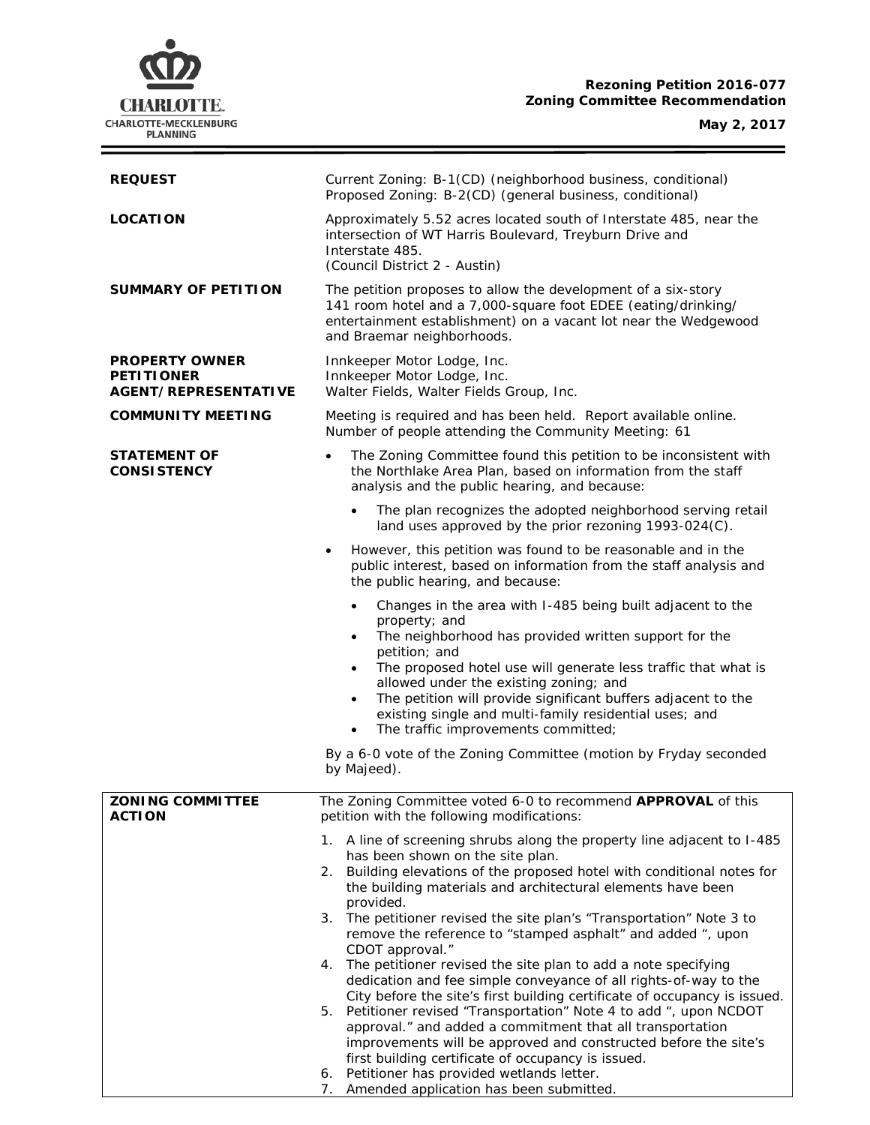

÷

| <b>REQUEST</b>                                                            | Current Zoning: B-1(CD) (neighborhood business, conditional)<br>Proposed Zoning: B-2(CD) (general business, conditional)                                                                                                                                                                                                                                                                                                                                                                             |  |  |
|---------------------------------------------------------------------------|------------------------------------------------------------------------------------------------------------------------------------------------------------------------------------------------------------------------------------------------------------------------------------------------------------------------------------------------------------------------------------------------------------------------------------------------------------------------------------------------------|--|--|
| <b>LOCATION</b>                                                           | Approximately 5.52 acres located south of Interstate 485, near the<br>intersection of WT Harris Boulevard, Treyburn Drive and<br>Interstate 485.<br>(Council District 2 - Austin)                                                                                                                                                                                                                                                                                                                    |  |  |
| <b>SUMMARY OF PETITION</b>                                                | The petition proposes to allow the development of a six-story<br>141 room hotel and a 7,000-square foot EDEE (eating/drinking/<br>entertainment establishment) on a vacant lot near the Wedgewood<br>and Braemar neighborhoods.                                                                                                                                                                                                                                                                      |  |  |
| <b>PROPERTY OWNER</b><br><b>PETITIONER</b><br><b>AGENT/REPRESENTATIVE</b> | Innkeeper Motor Lodge, Inc.<br>Innkeeper Motor Lodge, Inc.<br>Walter Fields, Walter Fields Group, Inc.                                                                                                                                                                                                                                                                                                                                                                                               |  |  |
| <b>COMMUNITY MEETING</b>                                                  | Meeting is required and has been held. Report available online.<br>Number of people attending the Community Meeting: 61                                                                                                                                                                                                                                                                                                                                                                              |  |  |
| <b>STATEMENT OF</b><br><b>CONSISTENCY</b>                                 | The Zoning Committee found this petition to be inconsistent with<br>$\bullet$<br>the Northlake Area Plan, based on information from the staff<br>analysis and the public hearing, and because:                                                                                                                                                                                                                                                                                                       |  |  |
|                                                                           | The plan recognizes the adopted neighborhood serving retail<br>land uses approved by the prior rezoning 1993-024(C).                                                                                                                                                                                                                                                                                                                                                                                 |  |  |
|                                                                           | However, this petition was found to be reasonable and in the<br>$\bullet$<br>public interest, based on information from the staff analysis and<br>the public hearing, and because:                                                                                                                                                                                                                                                                                                                   |  |  |
|                                                                           | Changes in the area with I-485 being built adjacent to the<br>$\bullet$<br>property; and<br>The neighborhood has provided written support for the<br>$\bullet$<br>petition; and<br>The proposed hotel use will generate less traffic that what is<br>$\bullet$<br>allowed under the existing zoning; and<br>The petition will provide significant buffers adjacent to the<br>$\bullet$<br>existing single and multi-family residential uses; and<br>The traffic improvements committed;<br>$\bullet$ |  |  |
|                                                                           | By a 6-0 vote of the Zoning Committee (motion by Fryday seconded<br>by Majeed).                                                                                                                                                                                                                                                                                                                                                                                                                      |  |  |
| <b>ZONING COMMITTEE</b><br><b>ACTION</b>                                  | The Zoning Committee voted 6-0 to recommend APPROVAL of this<br>petition with the following modifications:                                                                                                                                                                                                                                                                                                                                                                                           |  |  |
|                                                                           | 1. A line of screening shrubs along the property line adjacent to I-485<br>has been shown on the site plan.<br>2. Building elevations of the proposed hotel with conditional notes for<br>the building materials and architectural elements have been                                                                                                                                                                                                                                                |  |  |
|                                                                           | provided.<br>3. The petitioner revised the site plan's "Transportation" Note 3 to<br>remove the reference to "stamped asphalt" and added ", upon<br>CDOT approval."                                                                                                                                                                                                                                                                                                                                  |  |  |
|                                                                           | 4. The petitioner revised the site plan to add a note specifying<br>dedication and fee simple conveyance of all rights-of-way to the                                                                                                                                                                                                                                                                                                                                                                 |  |  |
|                                                                           | City before the site's first building certificate of occupancy is issued.<br>5. Petitioner revised "Transportation" Note 4 to add ", upon NCDOT<br>approval." and added a commitment that all transportation<br>improvements will be approved and constructed before the site's<br>first building certificate of occupancy is issued.                                                                                                                                                                |  |  |
|                                                                           | Petitioner has provided wetlands letter.<br>6.                                                                                                                                                                                                                                                                                                                                                                                                                                                       |  |  |

7. Amended application has been submitted.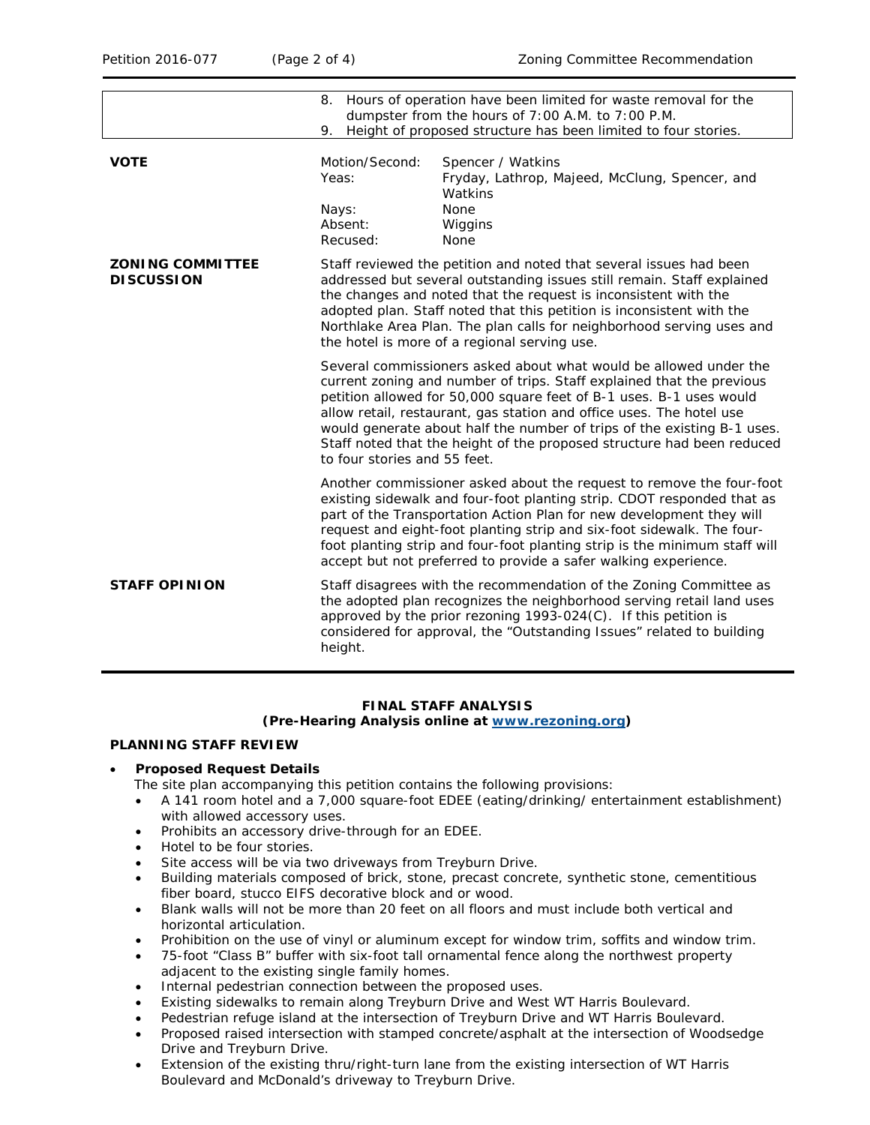|                                              | 8. Hours of operation have been limited for waste removal for the<br>dumpster from the hours of 7:00 A.M. to 7:00 P.M.<br>Height of proposed structure has been limited to four stories.<br>9.                                                                                                                                                                                                                                                                                 |                                                                                                                                                                                                                                                                                                                                                                                                                                                   |  |
|----------------------------------------------|--------------------------------------------------------------------------------------------------------------------------------------------------------------------------------------------------------------------------------------------------------------------------------------------------------------------------------------------------------------------------------------------------------------------------------------------------------------------------------|---------------------------------------------------------------------------------------------------------------------------------------------------------------------------------------------------------------------------------------------------------------------------------------------------------------------------------------------------------------------------------------------------------------------------------------------------|--|
| <b>VOTE</b>                                  | Motion/Second:<br>Yeas:<br>Nays:<br>Absent:<br>Recused:                                                                                                                                                                                                                                                                                                                                                                                                                        | Spencer / Watkins<br>Fryday, Lathrop, Majeed, McClung, Spencer, and<br>Watkins<br><b>None</b><br>Wiggins<br><b>None</b>                                                                                                                                                                                                                                                                                                                           |  |
| <b>ZONING COMMITTEE</b><br><b>DISCUSSION</b> | Staff reviewed the petition and noted that several issues had been<br>addressed but several outstanding issues still remain. Staff explained<br>the changes and noted that the request is inconsistent with the<br>adopted plan. Staff noted that this petition is inconsistent with the<br>Northlake Area Plan. The plan calls for neighborhood serving uses and<br>the hotel is more of a regional serving use.                                                              |                                                                                                                                                                                                                                                                                                                                                                                                                                                   |  |
|                                              | Several commissioners asked about what would be allowed under the<br>current zoning and number of trips. Staff explained that the previous<br>petition allowed for 50,000 square feet of B-1 uses. B-1 uses would<br>allow retail, restaurant, gas station and office uses. The hotel use<br>would generate about half the number of trips of the existing B-1 uses.<br>Staff noted that the height of the proposed structure had been reduced<br>to four stories and 55 feet. |                                                                                                                                                                                                                                                                                                                                                                                                                                                   |  |
|                                              |                                                                                                                                                                                                                                                                                                                                                                                                                                                                                | Another commissioner asked about the request to remove the four-foot<br>existing sidewalk and four-foot planting strip. CDOT responded that as<br>part of the Transportation Action Plan for new development they will<br>request and eight-foot planting strip and six-foot sidewalk. The four-<br>foot planting strip and four-foot planting strip is the minimum staff will<br>accept but not preferred to provide a safer walking experience. |  |
| <b>STAFF OPINION</b>                         | height.                                                                                                                                                                                                                                                                                                                                                                                                                                                                        | Staff disagrees with the recommendation of the Zoning Committee as<br>the adopted plan recognizes the neighborhood serving retail land uses<br>approved by the prior rezoning 1993-024(C). If this petition is<br>considered for approval, the "Outstanding Issues" related to building                                                                                                                                                           |  |

# **FINAL STAFF ANALYSIS**

**(Pre-Hearing Analysis online at [www.rezoning.org\)](http://www.rezoning.org/)** 

# **PLANNING STAFF REVIEW**

#### • **Proposed Request Details**

The site plan accompanying this petition contains the following provisions:

- A 141 room hotel and a 7,000 square-foot EDEE (eating/drinking/ entertainment establishment) with allowed accessory uses.
- Prohibits an accessory drive-through for an EDEE.
- Hotel to be four stories.
- Site access will be via two driveways from Treyburn Drive.
- Building materials composed of brick, stone, precast concrete, synthetic stone, cementitious fiber board, stucco EIFS decorative block and or wood.
- Blank walls will not be more than 20 feet on all floors and must include both vertical and horizontal articulation.
- Prohibition on the use of vinyl or aluminum except for window trim, soffits and window trim.
- 75-foot "Class B" buffer with six-foot tall ornamental fence along the northwest property adjacent to the existing single family homes.
- Internal pedestrian connection between the proposed uses.
- Existing sidewalks to remain along Treyburn Drive and West WT Harris Boulevard.
- Pedestrian refuge island at the intersection of Treyburn Drive and WT Harris Boulevard.
- Proposed raised intersection with stamped concrete/asphalt at the intersection of Woodsedge Drive and Treyburn Drive.
- Extension of the existing thru/right-turn lane from the existing intersection of WT Harris Boulevard and McDonald's driveway to Treyburn Drive.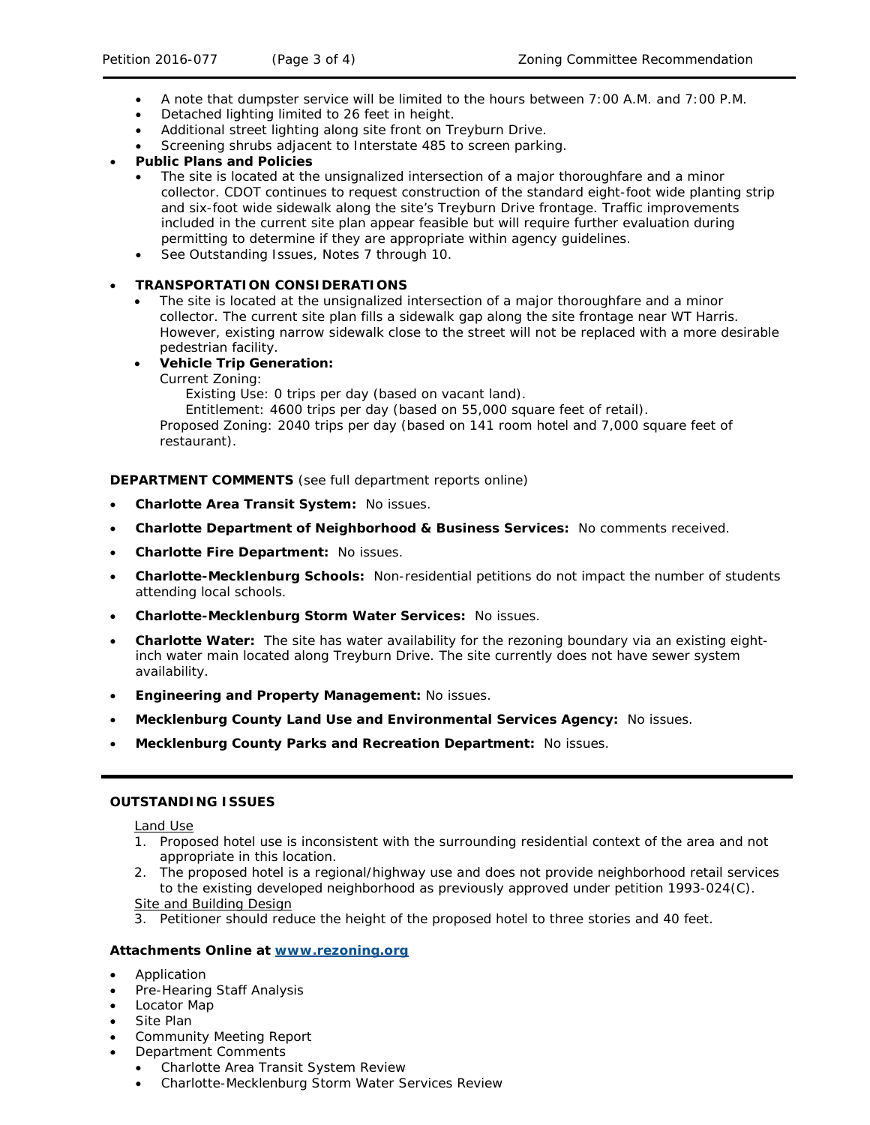- A note that dumpster service will be limited to the hours between 7:00 A.M. and 7:00 P.M.
- Detached lighting limited to 26 feet in height.
- Additional street lighting along site front on Treyburn Drive.
- Screening shrubs adjacent to Interstate 485 to screen parking.

### • **Public Plans and Policies**

- The site is located at the unsignalized intersection of a major thoroughfare and a minor collector. CDOT continues to request construction of the standard eight-foot wide planting strip and six-foot wide sidewalk along the site's Treyburn Drive frontage. Traffic improvements included in the current site plan appear feasible but will require further evaluation during permitting to determine if they are appropriate within agency guidelines.
- See Outstanding Issues, Notes 7 through 10.

## • **TRANSPORTATION CONSIDERATIONS**

The site is located at the unsignalized intersection of a major thoroughfare and a minor collector. The current site plan fills a sidewalk gap along the site frontage near WT Harris. However, existing narrow sidewalk close to the street will not be replaced with a more desirable pedestrian facility.

## • **Vehicle Trip Generation:**

Current Zoning:

Existing Use: 0 trips per day (based on vacant land).

Entitlement: 4600 trips per day (based on 55,000 square feet of retail).

Proposed Zoning: 2040 trips per day (based on 141 room hotel and 7,000 square feet of restaurant).

**DEPARTMENT COMMENTS** (see full department reports online)

- **Charlotte Area Transit System:** No issues.
- **Charlotte Department of Neighborhood & Business Services:** No comments received.
- **Charlotte Fire Department:** No issues.
- **Charlotte-Mecklenburg Schools:** Non-residential petitions do not impact the number of students attending local schools.
- **Charlotte-Mecklenburg Storm Water Services:** No issues.
- **Charlotte Water:** The site has water availability for the rezoning boundary via an existing eightinch water main located along Treyburn Drive. The site currently does not have sewer system availability.
- **Engineering and Property Management:** No issues.
- **Mecklenburg County Land Use and Environmental Services Agency:** No issues.
- **Mecklenburg County Parks and Recreation Department:** No issues.

#### **OUTSTANDING ISSUES**

Land Use

- 1. Proposed hotel use is inconsistent with the surrounding residential context of the area and not appropriate in this location.
- 2. The proposed hotel is a regional/highway use and does not provide neighborhood retail services to the existing developed neighborhood as previously approved under petition 1993-024(C). Site and Building Design
- 3. Petitioner should reduce the height of the proposed hotel to three stories and 40 feet.

# **Attachments Online at [www.rezoning.org](http://www.rezoning.org/)**

- Application
- Pre-Hearing Staff Analysis
- Locator Map
- Site Plan
- Community Meeting Report
- Department Comments
	- Charlotte Area Transit System Review
	- Charlotte-Mecklenburg Storm Water Services Review